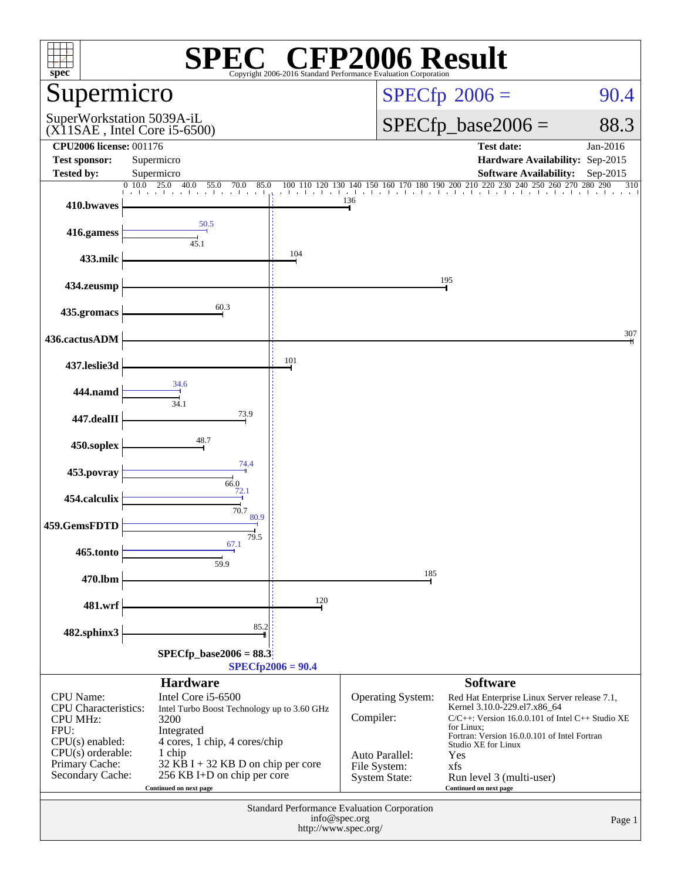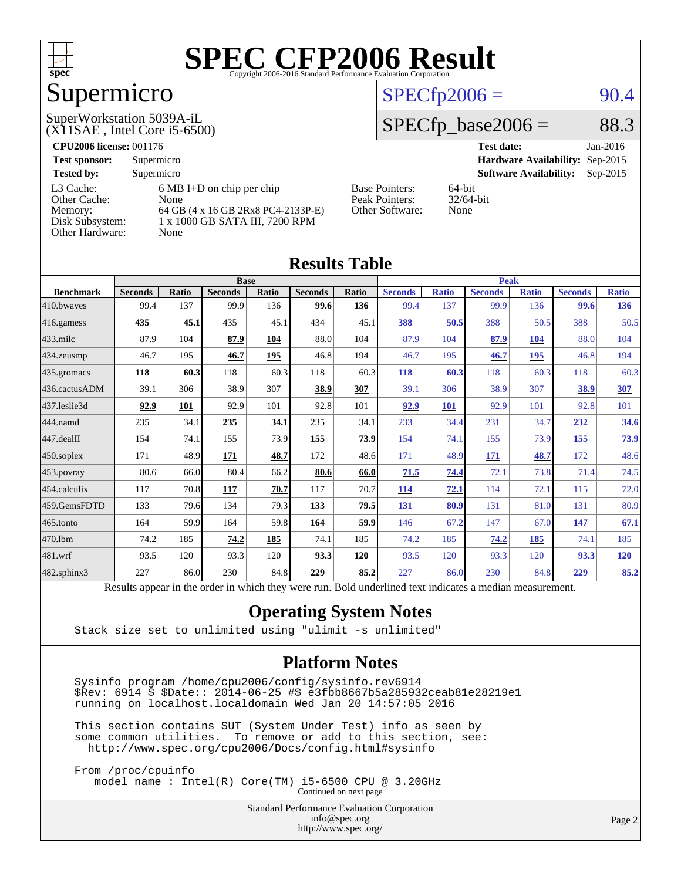

## Supermicro

(X11SAE , Intel Core i5-6500)

## SuperWorkstation 5039A-iL

#### $SPECfp2006 = 90.4$  $SPECfp2006 = 90.4$

### $SPECTp\_base2006 = 88.3$

| <b>CPU2006 license: 001176</b> |                                     |                       | <b>Test date:</b><br>Jan-2016               |
|--------------------------------|-------------------------------------|-----------------------|---------------------------------------------|
| <b>Test sponsor:</b>           | Supermicro                          |                       | Hardware Availability: Sep-2015             |
| <b>Tested by:</b>              | Supermicro                          |                       | <b>Software Availability:</b><br>$Sep-2015$ |
| L3 Cache:                      | $6 \text{ MB I+D}$ on chip per chip | <b>Base Pointers:</b> | 64-bit                                      |
| Other Cache:                   | None                                | Peak Pointers:        | $32/64$ -bit                                |
| Memory:                        | 64 GB (4 x 16 GB 2Rx8 PC4-2133P-E)  | Other Software:       | None                                        |
| Disk Subsystem:                | 1 x 1000 GB SATA III, 7200 RPM      |                       |                                             |
| <b>Other Hardware:</b>         | None                                |                       |                                             |

**[Results Table](http://www.spec.org/auto/cpu2006/Docs/result-fields.html#ResultsTable)**

| Results Table    |                                                                                                          |              |                |       |                |       |                |              |                |              |                |              |
|------------------|----------------------------------------------------------------------------------------------------------|--------------|----------------|-------|----------------|-------|----------------|--------------|----------------|--------------|----------------|--------------|
|                  | Peak<br><b>Base</b>                                                                                      |              |                |       |                |       |                |              |                |              |                |              |
| <b>Benchmark</b> | <b>Seconds</b>                                                                                           | <b>Ratio</b> | <b>Seconds</b> | Ratio | <b>Seconds</b> | Ratio | <b>Seconds</b> | <b>Ratio</b> | <b>Seconds</b> | <b>Ratio</b> | <b>Seconds</b> | <b>Ratio</b> |
| 410.bwaves       | 99.4                                                                                                     | 137          | 99.9           | 136   | 99.6           | 136   | 99.4           | 137          | 99.9           | 136          | 99.6           | <u>136</u>   |
| 416.gamess       | 435                                                                                                      | 45.1         | 435            | 45.1  | 434            | 45.1  | 388            | 50.5         | 388            | 50.5         | 388            | 50.5         |
| 433.milc         | 87.9                                                                                                     | 104          | 87.9           | 104   | 88.0           | 104   | 87.9           | 104          | 87.9           | 104          | 88.0           | 104          |
| 434.zeusmp       | 46.7                                                                                                     | 195          | 46.7           | 195   | 46.8           | 194   | 46.7           | 195          | 46.7           | 195          | 46.8           | 194          |
| 435.gromacs      | 118                                                                                                      | 60.3         | 118            | 60.3  | 118            | 60.3  | 118            | 60.3         | 118            | 60.3         | 118            | 60.3         |
| 436.cactusADM    | 39.1                                                                                                     | 306          | 38.9           | 307   | 38.9           | 307   | 39.1           | 306          | 38.9           | 307          | 38.9           | 307          |
| 437.leslie3d     | 92.9                                                                                                     | 101          | 92.9           | 101   | 92.8           | 101   | 92.9           | <b>101</b>   | 92.9           | 101          | 92.8           | 101          |
| 444.namd         | 235                                                                                                      | 34.1         | 235            | 34.1  | 235            | 34.1  | 233            | 34.4         | 231            | 34.7         | 232            | 34.6         |
| 447.dealII       | 154                                                                                                      | 74.1         | 155            | 73.9  | <b>155</b>     | 73.9  | 154            | 74.1         | 155            | 73.9         | 155            | <u>73.9</u>  |
| 450.soplex       | 171                                                                                                      | 48.9         | 171            | 48.7  | 172            | 48.6  | 171            | 48.9         | 171            | 48.7         | 172            | 48.6         |
| 453.povray       | 80.6                                                                                                     | 66.0         | 80.4           | 66.2  | 80.6           | 66.0  | 71.5           | 74.4         | 72.1           | 73.8         | 71.4           | 74.5         |
| 454.calculix     | 117                                                                                                      | 70.8         | 117            | 70.7  | 117            | 70.7  | <u>114</u>     | 72.1         | 114            | 72.1         | 115            | 72.0         |
| 459.GemsFDTD     | 133                                                                                                      | 79.6         | 134            | 79.3  | 133            | 79.5  | 131            | 80.9         | 131            | 81.0         | 131            | 80.9         |
| 465.tonto        | 164                                                                                                      | 59.9         | 164            | 59.8  | 164            | 59.9  | 146            | 67.2         | 147            | 67.0         | <u>147</u>     | 67.1         |
| 470.1bm          | 74.2                                                                                                     | 185          | 74.2           | 185   | 74.1           | 185   | 74.2           | 185          | 74.2           | 185          | 74.1           | 185          |
| 481.wrf          | 93.5                                                                                                     | 120          | 93.3           | 120   | 93.3           | 120   | 93.5           | 120          | 93.3           | 120          | 93.3           | 120          |
| 482.sphinx3      | 227                                                                                                      | 86.0         | 230            | 84.8  | 229            | 85.2  | 227            | 86.0         | 230            | 84.8         | 229            | 85.2         |
|                  | Results appear in the order in which they were run. Bold underlined text indicates a median measurement. |              |                |       |                |       |                |              |                |              |                |              |

#### **[Operating System Notes](http://www.spec.org/auto/cpu2006/Docs/result-fields.html#OperatingSystemNotes)**

Stack size set to unlimited using "ulimit -s unlimited"

#### **[Platform Notes](http://www.spec.org/auto/cpu2006/Docs/result-fields.html#PlatformNotes)**

 Sysinfo program /home/cpu2006/config/sysinfo.rev6914 \$Rev: 6914 \$ \$Date:: 2014-06-25 #\$ e3fbb8667b5a285932ceab81e28219e1 running on localhost.localdomain Wed Jan 20 14:57:05 2016

 This section contains SUT (System Under Test) info as seen by some common utilities. To remove or add to this section, see: <http://www.spec.org/cpu2006/Docs/config.html#sysinfo>

 From /proc/cpuinfo model name : Intel(R) Core(TM) i5-6500 CPU @ 3.20GHz

Continued on next page

Standard Performance Evaluation Corporation [info@spec.org](mailto:info@spec.org) <http://www.spec.org/>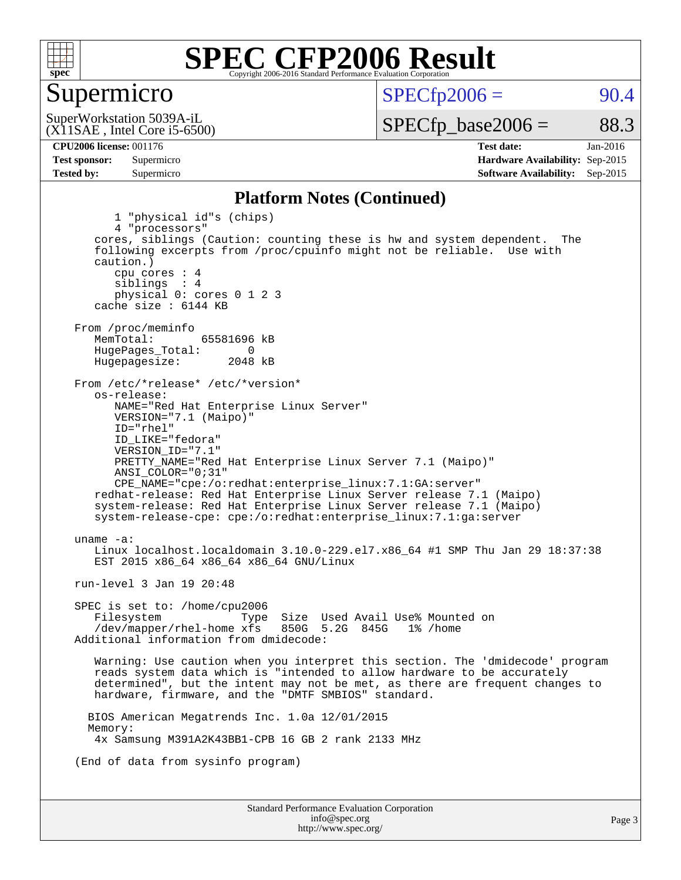

#### Supermicro

 $SPECTp2006 = 90.4$ 

(X11SAE , Intel Core i5-6500) SuperWorkstation 5039A-iL

 $SPECTp\_base2006 = 88.3$ 

**[CPU2006 license:](http://www.spec.org/auto/cpu2006/Docs/result-fields.html#CPU2006license)** 001176 **[Test date:](http://www.spec.org/auto/cpu2006/Docs/result-fields.html#Testdate)** Jan-2016 **[Test sponsor:](http://www.spec.org/auto/cpu2006/Docs/result-fields.html#Testsponsor)** Supermicro **[Hardware Availability:](http://www.spec.org/auto/cpu2006/Docs/result-fields.html#HardwareAvailability)** Sep-2015 **[Tested by:](http://www.spec.org/auto/cpu2006/Docs/result-fields.html#Testedby)** Supermicro **Supermicro [Software Availability:](http://www.spec.org/auto/cpu2006/Docs/result-fields.html#SoftwareAvailability)** Sep-2015

#### **[Platform Notes \(Continued\)](http://www.spec.org/auto/cpu2006/Docs/result-fields.html#PlatformNotes)**

Standard Performance Evaluation Corporation [info@spec.org](mailto:info@spec.org) 1 "physical id"s (chips) 4 "processors" cores, siblings (Caution: counting these is hw and system dependent. The following excerpts from /proc/cpuinfo might not be reliable. Use with caution.) cpu cores : 4 siblings : 4 physical 0: cores 0 1 2 3 cache size : 6144 KB From /proc/meminfo<br>MemTotal: 65581696 kB HugePages\_Total: 0<br>Hugepagesize: 2048 kB Hugepagesize: From /etc/\*release\* /etc/\*version\* os-release: NAME="Red Hat Enterprise Linux Server" VERSION="7.1 (Maipo)" ID="rhel" ID\_LIKE="fedora" VERSION\_ID="7.1" PRETTY\_NAME="Red Hat Enterprise Linux Server 7.1 (Maipo)" ANSI\_COLOR="0;31" CPE\_NAME="cpe:/o:redhat:enterprise\_linux:7.1:GA:server" redhat-release: Red Hat Enterprise Linux Server release 7.1 (Maipo) system-release: Red Hat Enterprise Linux Server release 7.1 (Maipo) system-release-cpe: cpe:/o:redhat:enterprise\_linux:7.1:ga:server uname -a: Linux localhost.localdomain 3.10.0-229.el7.x86\_64 #1 SMP Thu Jan 29 18:37:38 EST 2015 x86\_64 x86\_64 x86\_64 GNU/Linux run-level 3 Jan 19 20:48 SPEC is set to: /home/cpu2006 Filesystem Type Size Used Avail Use% Mounted on<br>/dev/mapper/rhel-home xfs 850G 5.2G 845G 1% /home  $/$ dev/mapper/rhel-home  $x$ fs Additional information from dmidecode: Warning: Use caution when you interpret this section. The 'dmidecode' program reads system data which is "intended to allow hardware to be accurately determined", but the intent may not be met, as there are frequent changes to hardware, firmware, and the "DMTF SMBIOS" standard. BIOS American Megatrends Inc. 1.0a 12/01/2015 Memory: 4x Samsung M391A2K43BB1-CPB 16 GB 2 rank 2133 MHz (End of data from sysinfo program)

<http://www.spec.org/>

Page 3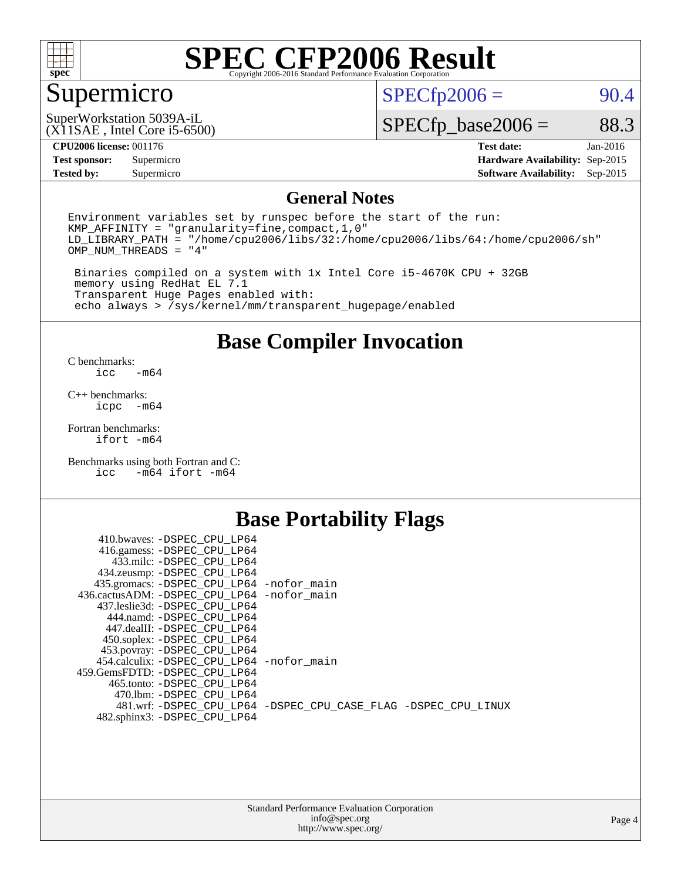

## Supermicro

 $SPECfp2006 = 90.4$  $SPECfp2006 = 90.4$ 

#### (X11SAE , Intel Core i5-6500) SuperWorkstation 5039A-iL

 $SPECTp\_base2006 = 88.3$ 

**[Tested by:](http://www.spec.org/auto/cpu2006/Docs/result-fields.html#Testedby)** Supermicro **Supermicro [Software Availability:](http://www.spec.org/auto/cpu2006/Docs/result-fields.html#SoftwareAvailability)** Sep-2015

**[CPU2006 license:](http://www.spec.org/auto/cpu2006/Docs/result-fields.html#CPU2006license)** 001176 **[Test date:](http://www.spec.org/auto/cpu2006/Docs/result-fields.html#Testdate)** Jan-2016 **[Test sponsor:](http://www.spec.org/auto/cpu2006/Docs/result-fields.html#Testsponsor)** Supermicro **[Hardware Availability:](http://www.spec.org/auto/cpu2006/Docs/result-fields.html#HardwareAvailability)** Sep-2015

#### **[General Notes](http://www.spec.org/auto/cpu2006/Docs/result-fields.html#GeneralNotes)**

Environment variables set by runspec before the start of the run: KMP\_AFFINITY = "granularity=fine,compact,1,0" LD\_LIBRARY\_PATH = "/home/cpu2006/libs/32:/home/cpu2006/libs/64:/home/cpu2006/sh" OMP\_NUM\_THREADS = "4"

 Binaries compiled on a system with 1x Intel Core i5-4670K CPU + 32GB memory using RedHat EL 7.1 Transparent Huge Pages enabled with: echo always > /sys/kernel/mm/transparent\_hugepage/enabled

#### **[Base Compiler Invocation](http://www.spec.org/auto/cpu2006/Docs/result-fields.html#BaseCompilerInvocation)**

[C benchmarks](http://www.spec.org/auto/cpu2006/Docs/result-fields.html#Cbenchmarks):  $-m64$ 

[C++ benchmarks:](http://www.spec.org/auto/cpu2006/Docs/result-fields.html#CXXbenchmarks) [icpc -m64](http://www.spec.org/cpu2006/results/res2016q1/cpu2006-20160125-38790.flags.html#user_CXXbase_intel_icpc_64bit_bedb90c1146cab66620883ef4f41a67e)

[Fortran benchmarks](http://www.spec.org/auto/cpu2006/Docs/result-fields.html#Fortranbenchmarks): [ifort -m64](http://www.spec.org/cpu2006/results/res2016q1/cpu2006-20160125-38790.flags.html#user_FCbase_intel_ifort_64bit_ee9d0fb25645d0210d97eb0527dcc06e)

[Benchmarks using both Fortran and C](http://www.spec.org/auto/cpu2006/Docs/result-fields.html#BenchmarksusingbothFortranandC): [icc -m64](http://www.spec.org/cpu2006/results/res2016q1/cpu2006-20160125-38790.flags.html#user_CC_FCbase_intel_icc_64bit_0b7121f5ab7cfabee23d88897260401c) [ifort -m64](http://www.spec.org/cpu2006/results/res2016q1/cpu2006-20160125-38790.flags.html#user_CC_FCbase_intel_ifort_64bit_ee9d0fb25645d0210d97eb0527dcc06e)

### **[Base Portability Flags](http://www.spec.org/auto/cpu2006/Docs/result-fields.html#BasePortabilityFlags)**

| 410.bwaves: -DSPEC CPU LP64                 |                                                                |
|---------------------------------------------|----------------------------------------------------------------|
| 416.gamess: -DSPEC_CPU_LP64                 |                                                                |
| 433.milc: -DSPEC CPU LP64                   |                                                                |
| 434.zeusmp: -DSPEC_CPU_LP64                 |                                                                |
| 435.gromacs: -DSPEC_CPU_LP64 -nofor_main    |                                                                |
| 436.cactusADM: -DSPEC CPU LP64 -nofor main  |                                                                |
| 437.leslie3d: -DSPEC CPU LP64               |                                                                |
| 444.namd: -DSPEC CPU LP64                   |                                                                |
| 447.dealII: -DSPEC CPU LP64                 |                                                                |
| 450.soplex: -DSPEC_CPU_LP64                 |                                                                |
| 453.povray: -DSPEC_CPU_LP64                 |                                                                |
| 454.calculix: - DSPEC CPU LP64 - nofor main |                                                                |
| 459. GemsFDTD: - DSPEC CPU LP64             |                                                                |
| 465.tonto: - DSPEC CPU LP64                 |                                                                |
| 470.1bm: - DSPEC CPU LP64                   |                                                                |
|                                             | 481.wrf: -DSPEC CPU_LP64 -DSPEC_CPU_CASE_FLAG -DSPEC_CPU_LINUX |
| 482.sphinx3: -DSPEC_CPU_LP64                |                                                                |
|                                             |                                                                |

| <b>Standard Performance Evaluation Corporation</b> |
|----------------------------------------------------|
| info@spec.org                                      |
| http://www.spec.org/                               |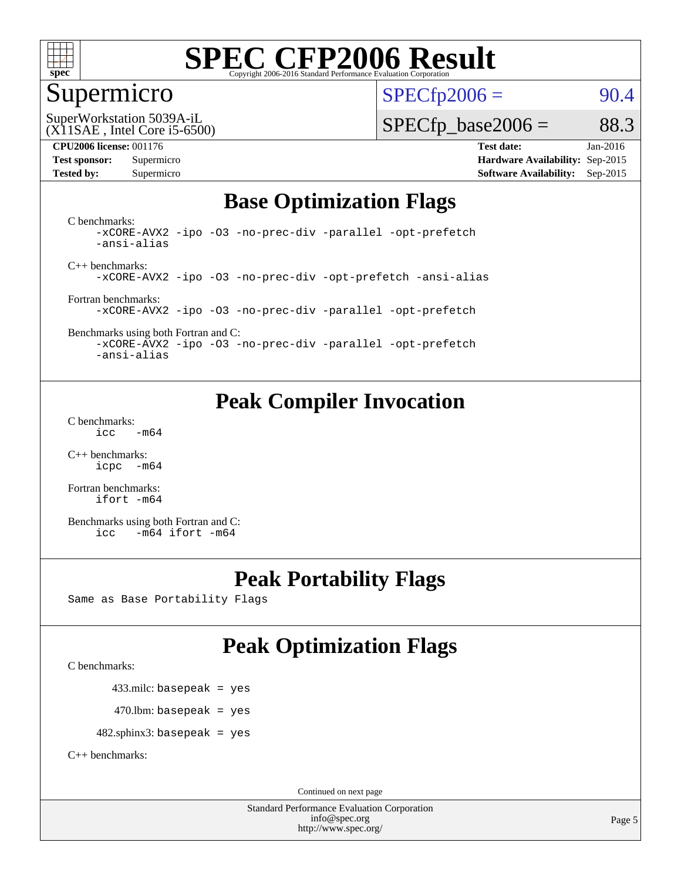

#### Supermicro

 $SPECTp2006 = 90.4$ 

(X11SAE , Intel Core i5-6500) SuperWorkstation 5039A-iL

 $SPECTp\_base2006 = 88.3$ 

**[CPU2006 license:](http://www.spec.org/auto/cpu2006/Docs/result-fields.html#CPU2006license)** 001176 **[Test date:](http://www.spec.org/auto/cpu2006/Docs/result-fields.html#Testdate)** Jan-2016 **[Test sponsor:](http://www.spec.org/auto/cpu2006/Docs/result-fields.html#Testsponsor)** Supermicro **[Hardware Availability:](http://www.spec.org/auto/cpu2006/Docs/result-fields.html#HardwareAvailability)** Sep-2015 **[Tested by:](http://www.spec.org/auto/cpu2006/Docs/result-fields.html#Testedby)** Supermicro **Supermicro [Software Availability:](http://www.spec.org/auto/cpu2006/Docs/result-fields.html#SoftwareAvailability)** Sep-2015

### **[Base Optimization Flags](http://www.spec.org/auto/cpu2006/Docs/result-fields.html#BaseOptimizationFlags)**

[C benchmarks](http://www.spec.org/auto/cpu2006/Docs/result-fields.html#Cbenchmarks): [-xCORE-AVX2](http://www.spec.org/cpu2006/results/res2016q1/cpu2006-20160125-38790.flags.html#user_CCbase_f-xAVX2_5f5fc0cbe2c9f62c816d3e45806c70d7) [-ipo](http://www.spec.org/cpu2006/results/res2016q1/cpu2006-20160125-38790.flags.html#user_CCbase_f-ipo) [-O3](http://www.spec.org/cpu2006/results/res2016q1/cpu2006-20160125-38790.flags.html#user_CCbase_f-O3) [-no-prec-div](http://www.spec.org/cpu2006/results/res2016q1/cpu2006-20160125-38790.flags.html#user_CCbase_f-no-prec-div) [-parallel](http://www.spec.org/cpu2006/results/res2016q1/cpu2006-20160125-38790.flags.html#user_CCbase_f-parallel) [-opt-prefetch](http://www.spec.org/cpu2006/results/res2016q1/cpu2006-20160125-38790.flags.html#user_CCbase_f-opt-prefetch) [-ansi-alias](http://www.spec.org/cpu2006/results/res2016q1/cpu2006-20160125-38790.flags.html#user_CCbase_f-ansi-alias)

[C++ benchmarks:](http://www.spec.org/auto/cpu2006/Docs/result-fields.html#CXXbenchmarks) [-xCORE-AVX2](http://www.spec.org/cpu2006/results/res2016q1/cpu2006-20160125-38790.flags.html#user_CXXbase_f-xAVX2_5f5fc0cbe2c9f62c816d3e45806c70d7) [-ipo](http://www.spec.org/cpu2006/results/res2016q1/cpu2006-20160125-38790.flags.html#user_CXXbase_f-ipo) [-O3](http://www.spec.org/cpu2006/results/res2016q1/cpu2006-20160125-38790.flags.html#user_CXXbase_f-O3) [-no-prec-div](http://www.spec.org/cpu2006/results/res2016q1/cpu2006-20160125-38790.flags.html#user_CXXbase_f-no-prec-div) [-opt-prefetch](http://www.spec.org/cpu2006/results/res2016q1/cpu2006-20160125-38790.flags.html#user_CXXbase_f-opt-prefetch) [-ansi-alias](http://www.spec.org/cpu2006/results/res2016q1/cpu2006-20160125-38790.flags.html#user_CXXbase_f-ansi-alias)

[Fortran benchmarks](http://www.spec.org/auto/cpu2006/Docs/result-fields.html#Fortranbenchmarks): [-xCORE-AVX2](http://www.spec.org/cpu2006/results/res2016q1/cpu2006-20160125-38790.flags.html#user_FCbase_f-xAVX2_5f5fc0cbe2c9f62c816d3e45806c70d7) [-ipo](http://www.spec.org/cpu2006/results/res2016q1/cpu2006-20160125-38790.flags.html#user_FCbase_f-ipo) [-O3](http://www.spec.org/cpu2006/results/res2016q1/cpu2006-20160125-38790.flags.html#user_FCbase_f-O3) [-no-prec-div](http://www.spec.org/cpu2006/results/res2016q1/cpu2006-20160125-38790.flags.html#user_FCbase_f-no-prec-div) [-parallel](http://www.spec.org/cpu2006/results/res2016q1/cpu2006-20160125-38790.flags.html#user_FCbase_f-parallel) [-opt-prefetch](http://www.spec.org/cpu2006/results/res2016q1/cpu2006-20160125-38790.flags.html#user_FCbase_f-opt-prefetch)

[Benchmarks using both Fortran and C](http://www.spec.org/auto/cpu2006/Docs/result-fields.html#BenchmarksusingbothFortranandC): [-xCORE-AVX2](http://www.spec.org/cpu2006/results/res2016q1/cpu2006-20160125-38790.flags.html#user_CC_FCbase_f-xAVX2_5f5fc0cbe2c9f62c816d3e45806c70d7) [-ipo](http://www.spec.org/cpu2006/results/res2016q1/cpu2006-20160125-38790.flags.html#user_CC_FCbase_f-ipo) [-O3](http://www.spec.org/cpu2006/results/res2016q1/cpu2006-20160125-38790.flags.html#user_CC_FCbase_f-O3) [-no-prec-div](http://www.spec.org/cpu2006/results/res2016q1/cpu2006-20160125-38790.flags.html#user_CC_FCbase_f-no-prec-div) [-parallel](http://www.spec.org/cpu2006/results/res2016q1/cpu2006-20160125-38790.flags.html#user_CC_FCbase_f-parallel) [-opt-prefetch](http://www.spec.org/cpu2006/results/res2016q1/cpu2006-20160125-38790.flags.html#user_CC_FCbase_f-opt-prefetch)

[-ansi-alias](http://www.spec.org/cpu2006/results/res2016q1/cpu2006-20160125-38790.flags.html#user_CC_FCbase_f-ansi-alias)

## **[Peak Compiler Invocation](http://www.spec.org/auto/cpu2006/Docs/result-fields.html#PeakCompilerInvocation)**

[C benchmarks](http://www.spec.org/auto/cpu2006/Docs/result-fields.html#Cbenchmarks):  $\text{icc}$   $-\text{m64}$ 

[C++ benchmarks:](http://www.spec.org/auto/cpu2006/Docs/result-fields.html#CXXbenchmarks) [icpc -m64](http://www.spec.org/cpu2006/results/res2016q1/cpu2006-20160125-38790.flags.html#user_CXXpeak_intel_icpc_64bit_bedb90c1146cab66620883ef4f41a67e)

[Fortran benchmarks](http://www.spec.org/auto/cpu2006/Docs/result-fields.html#Fortranbenchmarks): [ifort -m64](http://www.spec.org/cpu2006/results/res2016q1/cpu2006-20160125-38790.flags.html#user_FCpeak_intel_ifort_64bit_ee9d0fb25645d0210d97eb0527dcc06e)

[Benchmarks using both Fortran and C](http://www.spec.org/auto/cpu2006/Docs/result-fields.html#BenchmarksusingbothFortranandC): [icc -m64](http://www.spec.org/cpu2006/results/res2016q1/cpu2006-20160125-38790.flags.html#user_CC_FCpeak_intel_icc_64bit_0b7121f5ab7cfabee23d88897260401c) [ifort -m64](http://www.spec.org/cpu2006/results/res2016q1/cpu2006-20160125-38790.flags.html#user_CC_FCpeak_intel_ifort_64bit_ee9d0fb25645d0210d97eb0527dcc06e)

## **[Peak Portability Flags](http://www.spec.org/auto/cpu2006/Docs/result-fields.html#PeakPortabilityFlags)**

Same as Base Portability Flags

## **[Peak Optimization Flags](http://www.spec.org/auto/cpu2006/Docs/result-fields.html#PeakOptimizationFlags)**

[C benchmarks](http://www.spec.org/auto/cpu2006/Docs/result-fields.html#Cbenchmarks):

433.milc: basepeak = yes

 $470.$ lbm: basepeak = yes

482.sphinx3: basepeak = yes

[C++ benchmarks:](http://www.spec.org/auto/cpu2006/Docs/result-fields.html#CXXbenchmarks)

Continued on next page

Standard Performance Evaluation Corporation [info@spec.org](mailto:info@spec.org) <http://www.spec.org/>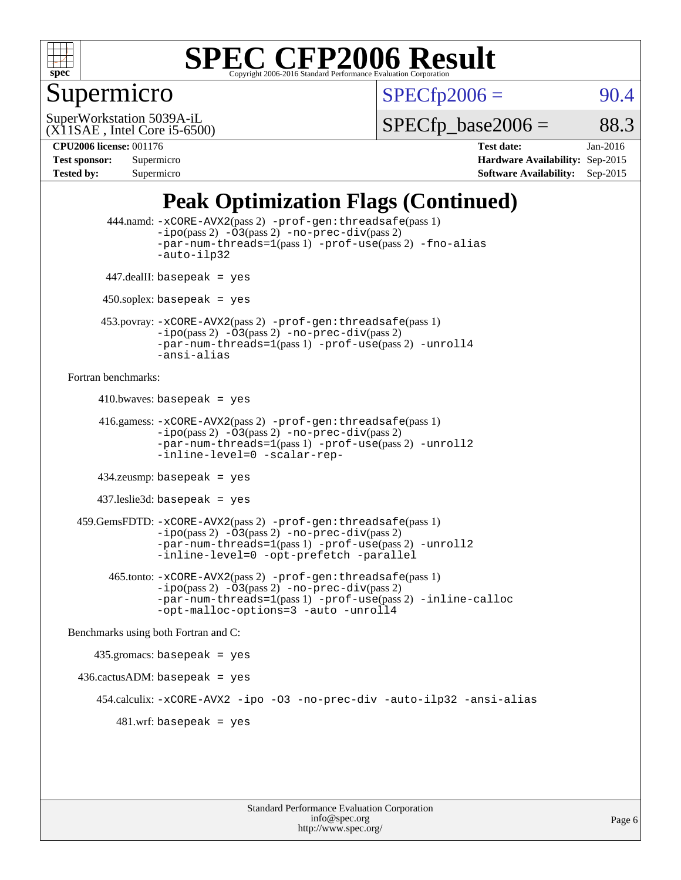

### Supermicro

 $SPECTp2006 = 90.4$ 

(X11SAE , Intel Core i5-6500) SuperWorkstation 5039A-iL

 $SPECTp\_base2006 = 88.3$ 

**[CPU2006 license:](http://www.spec.org/auto/cpu2006/Docs/result-fields.html#CPU2006license)** 001176 **[Test date:](http://www.spec.org/auto/cpu2006/Docs/result-fields.html#Testdate)** Jan-2016 **[Test sponsor:](http://www.spec.org/auto/cpu2006/Docs/result-fields.html#Testsponsor)** Supermicro **[Hardware Availability:](http://www.spec.org/auto/cpu2006/Docs/result-fields.html#HardwareAvailability)** Sep-2015 **[Tested by:](http://www.spec.org/auto/cpu2006/Docs/result-fields.html#Testedby)** Supermicro **Supermicro [Software Availability:](http://www.spec.org/auto/cpu2006/Docs/result-fields.html#SoftwareAvailability)** Sep-2015

## **[Peak Optimization Flags \(Continued\)](http://www.spec.org/auto/cpu2006/Docs/result-fields.html#PeakOptimizationFlags)**

```
 444.namd: -xCORE-AVX2(pass 2) -prof-gen:threadsafe(pass 1)
               -ipo(pass 2) -03(pass 2) -no-prec-div(pass 2)
               -par-num-threads=1(pass 1) -prof-use(pass 2) -fno-alias
               -auto-ilp32
      447.dealII: basepeak = yes
      450.soplex: basepeak = yes
      453.povray: -xCORE-AVX2(pass 2) -prof-gen:threadsafe(pass 1)
               -no-prec-div(pass 2)-par-num-threads=1(pass 1) -prof-use(pass 2) -unroll4
               -ansi-alias
Fortran benchmarks: 
     410.bwaves: basepeak = yes 416.gamess: -xCORE-AVX2(pass 2) -prof-gen:threadsafe(pass 1)
               -ipo(pass 2) -03(pass 2) -no-prec-div(pass 2)-par-num-threads=1(pass 1) -prof-use(pass 2) -unroll2
               -inline-level=0 -scalar-rep-
      434.zeusmp: basepeak = yes
     437.leslie3d: basepeak = yes
  459.GemsFDTD: -xCORE-AVX2(pass 2) -prof-gen:threadsafe(pass 1)
               -i\text{po}(pass 2) -\tilde{O}3(pass 2)-no-prec-div(pass 2)
               -par-num-threads=1(pass 1) -prof-use(pass 2) -unroll2
               -inline-level=0 -opt-prefetch -parallel
        465.tonto: -xCORE-AVX2(pass 2) -prof-gen:threadsafe(pass 1)
               -no-prec-div(pass 2)-par-num-threads=1(pass 1) -prof-use(pass 2) -inline-calloc
               -opt-malloc-options=3 -auto -unroll4
Benchmarks using both Fortran and C: 
     435.gromacs: basepeak = yes
 436.cactusADM:basepeak = yes 454.calculix: -xCORE-AVX2 -ipo -O3 -no-prec-div -auto-ilp32 -ansi-alias
        481 \text{.m}: basepeak = yes
```